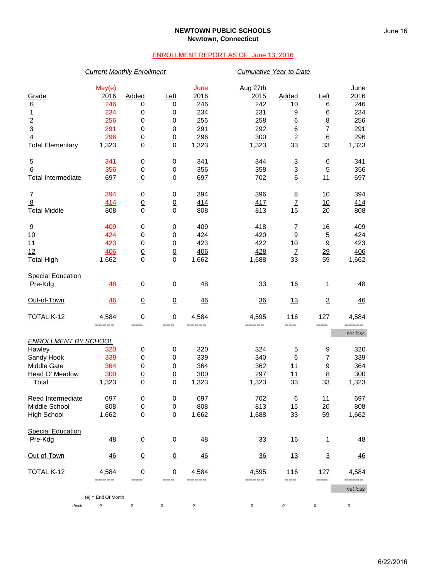## **NEWTOWN PUBLIC SCHOOLS Newtown, Connecticut**

## ENROLLMENT REPORT AS OF June 13, 2016

|                             | <b>Current Monthly Enrollment</b> |                  |                 |                     |                         | Cumulative Year-to-Date  |                 |                     |  |  |
|-----------------------------|-----------------------------------|------------------|-----------------|---------------------|-------------------------|--------------------------|-----------------|---------------------|--|--|
| Grade<br>Κ                  | May(e)<br>2016<br>246             | Added<br>0       | Left<br>0       | June<br>2016<br>246 | Aug 27th<br>2015<br>242 | Added<br>10              | Left<br>6       | June<br>2016<br>246 |  |  |
| 1                           | 234                               | 0                | 0               | 234                 | 231                     | 9                        | 6               | 234                 |  |  |
| $\overline{2}$              | 256                               | 0                | 0               | 256                 | 258                     | 6                        | 8               | 256                 |  |  |
| 3                           | 291                               | $\mathbf 0$      | 0               | 291                 | 292                     | 6                        | $\overline{7}$  | 291                 |  |  |
| 4                           | 296                               | $\overline{0}$   | $\overline{0}$  | 296                 | 300                     | $\underline{\mathbf{2}}$ | $6\overline{6}$ | 296                 |  |  |
| <b>Total Elementary</b>     | 1,323                             | $\mathbf 0$      | $\mathbf 0$     | 1,323               | 1,323                   | 33                       | 33              | 1,323               |  |  |
| 5                           | 341                               | $\pmb{0}$        | $\,0\,$         | 341                 | 344                     | 3                        | $\,6$           | 341                 |  |  |
| 6                           | 356                               | $\underline{0}$  | $\underline{0}$ | 356                 | 358                     | $\overline{3}$           | $\overline{5}$  | 356                 |  |  |
| <b>Total Intermediate</b>   | 697                               | $\mathbf 0$      | $\mathbf 0$     | 697                 | 702                     | 6                        | 11              | 697                 |  |  |
| 7                           | 394                               | 0                | 0               | 394                 | 396                     | 8                        | 10              | 394                 |  |  |
| $\overline{8}$              | 414                               | $\underline{0}$  | $\overline{0}$  | 414                 | 417                     | $\overline{1}$           | 10              | 414                 |  |  |
| <b>Total Middle</b>         | 808                               | $\mathbf 0$      | $\mathbf 0$     | 808                 | 813                     | 15                       | 20              | 808                 |  |  |
| 9                           | 409                               | 0                | $\pmb{0}$       | 409                 | 418                     | $\overline{7}$           | 16              | 409                 |  |  |
| 10                          | 424                               | 0                | $\mathbf 0$     | 424                 | 420                     | $\boldsymbol{9}$         | 5               | 424                 |  |  |
| 11                          | 423                               | $\mathbf 0$      | 0               | 423                 | 422                     | 10                       | 9               | 423                 |  |  |
| 12                          | 406                               | $\overline{0}$   | $\overline{0}$  | 406                 | 428                     | $\overline{1}$           | $\frac{29}{2}$  | 406                 |  |  |
| <b>Total High</b>           | 1,662                             | $\mathbf 0$      | $\mathbf 0$     | 1,662               | 1,688                   | 33                       | 59              | 1,662               |  |  |
| <b>Special Education</b>    |                                   |                  |                 |                     |                         |                          |                 |                     |  |  |
| Pre-Kdg                     | 48                                | $\mathbf 0$      | $\mathbf 0$     | 48                  | 33                      | 16                       | 1               | 48                  |  |  |
| Out-of-Town                 | 46                                | $\overline{0}$   | $\overline{0}$  | 46                  | 36                      | 13                       | $\overline{3}$  | 46                  |  |  |
| TOTAL K-12                  | 4,584                             | $\mathbf 0$      | $\mathbf 0$     | 4,584               | 4,595                   | 116                      | 127             | 4,584               |  |  |
|                             | $=====$                           | $==$             | ===             | =====               | =====                   | ===                      | ===             | =====<br>net loss   |  |  |
| <b>ENROLLMENT BY SCHOOL</b> |                                   |                  |                 |                     |                         |                          |                 |                     |  |  |
| Hawley                      | 320                               | 0                | 0               | 320                 | 324                     | 5                        | 9               | 320                 |  |  |
| Sandy Hook                  | 339                               | $\mathbf 0$      | $\mathbf 0$     | 339                 | 340                     | 6                        | 7               | 339                 |  |  |
| Middle Gate                 | 364                               | 0                | 0               | 364                 | 362                     | 11                       | 9               | 364                 |  |  |
| Head O' Meadow              | 300                               | $\overline{0}$   | $\overline{0}$  | 300                 | 297                     | 11                       | $8\phantom{1}$  | 300                 |  |  |
| Total                       | 1,323                             | $\Omega$         | $\mathbf 0$     | 1,323               | 1,323                   | 33                       | 33              | 1,323               |  |  |
| Reed Intermediate           | 697                               | $\pmb{0}$        | 0               | 697                 | 702                     | $6\phantom{1}6$          | 11              | 697                 |  |  |
| Middle School               | 808                               | $\pmb{0}$        | 0               | 808                 | 813                     | 15                       | 20              | 808                 |  |  |
| High School                 | 1,662                             | $\pmb{0}$        | $\mathbf 0$     | 1,662               | 1,688                   | 33                       | 59              | 1,662               |  |  |
| <b>Special Education</b>    |                                   |                  |                 |                     |                         |                          |                 |                     |  |  |
| Pre-Kdg                     | 48                                | $\boldsymbol{0}$ | $\pmb{0}$       | 48                  | 33                      | 16                       | 1               | 48                  |  |  |
| Out-of-Town                 | 46                                | $\overline{0}$   | $\overline{0}$  | 46                  | $\frac{36}{5}$          | 13                       | $\overline{3}$  | $\frac{46}{5}$      |  |  |
| TOTAL K-12                  | 4,584                             | $\mathbf 0$      | $\,0\,$         | 4,584               | 4,595                   | 116                      | 127             | 4,584               |  |  |
|                             | $=====$                           | ===              | ===             | =====               | =====                   | ===                      | ===             | =====<br>net loss   |  |  |
|                             | $(e)$ = End Of Month              |                  |                 |                     |                         |                          |                 |                     |  |  |
| check                       | 0                                 | 0                | 0               | 0                   | 0                       | 0                        | 0               | 0                   |  |  |